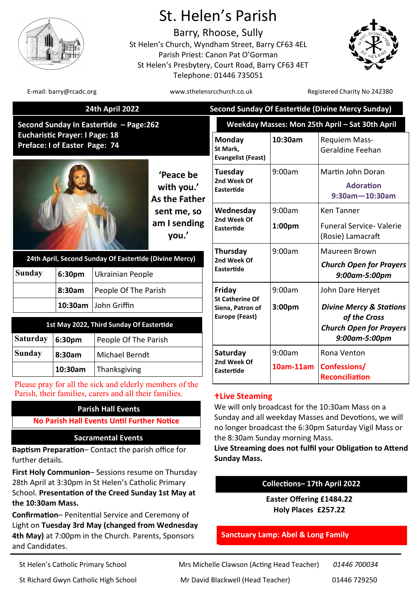

# St. Helen's Parish

Barry, Rhoose, Sully St Helen's Church, Wyndham Street, Barry CF63 4EL Parish Priest: Canon Pat O'Gorman St Helen's Presbytery, Court Road, Barry CF63 4ET Telephone: 01446 735051



E-mail: barry@rcadc.org www.sthelensrcchurch.co.uk Registered Charity No 242380

|                                                                                |                                | <b>24th April 2022</b>                                                                                            |                                                 | <b>Second Sunday Of Eastertide (Divine Mercy Sunday)</b>                                                                                                                                                                                                                                |                    |                                                                |
|--------------------------------------------------------------------------------|--------------------------------|-------------------------------------------------------------------------------------------------------------------|-------------------------------------------------|-----------------------------------------------------------------------------------------------------------------------------------------------------------------------------------------------------------------------------------------------------------------------------------------|--------------------|----------------------------------------------------------------|
| Second Sunday In Eastertide - Page:262                                         |                                |                                                                                                                   |                                                 | Weekday Masses: Mon 25th April - Sat 30th April                                                                                                                                                                                                                                         |                    |                                                                |
| <b>Eucharistic Prayer: I Page: 18</b><br>Preface: I of Easter Page: 74         |                                |                                                                                                                   |                                                 | Monday<br>St Mark,<br><b>Evangelist (Feast)</b>                                                                                                                                                                                                                                         | 10:30am            | Requiem Mass-<br>Geraldine Feehan                              |
|                                                                                |                                |                                                                                                                   | 'Peace be<br>with you.'<br><b>As the Father</b> | Tuesday<br>2nd Week Of<br><b>Eastertide</b>                                                                                                                                                                                                                                             | 9:00am             | Martin John Doran<br><b>Adoration</b><br>$9:30$ am $-10:30$ am |
|                                                                                |                                |                                                                                                                   | sent me, so                                     | Wednesday                                                                                                                                                                                                                                                                               | 9:00am             | <b>Ken Tanner</b>                                              |
|                                                                                |                                |                                                                                                                   | am I sending<br>you.'                           | 2nd Week Of<br>Eastertide                                                                                                                                                                                                                                                               | 1:00pm             | <b>Funeral Service- Valerie</b><br>(Rosie) Lamacraft           |
| 24th April, Second Sunday Of Eastertide (Divine Mercy)                         |                                |                                                                                                                   |                                                 | Thursday                                                                                                                                                                                                                                                                                | 9:00am             | Maureen Brown                                                  |
| <b>Sunday</b>                                                                  | 6:30pm<br>Ukrainian People     |                                                                                                                   |                                                 | 2nd Week Of<br>Eastertide                                                                                                                                                                                                                                                               |                    | <b>Church Open for Prayers</b><br>9:00am-5:00pm                |
|                                                                                | 8:30am<br>People Of The Parish |                                                                                                                   | Friday                                          | 9:00am                                                                                                                                                                                                                                                                                  | John Dare Heryet   |                                                                |
|                                                                                | 10:30am                        | John Griffin                                                                                                      |                                                 | <b>St Catherine Of</b><br>Siena, Patron of                                                                                                                                                                                                                                              | 3:00 <sub>pm</sub> | <b>Divine Mercy &amp; Stations</b>                             |
| 1st May 2022, Third Sunday Of Eastertide                                       |                                |                                                                                                                   |                                                 | <b>Europe (Feast)</b>                                                                                                                                                                                                                                                                   |                    | of the Cross<br><b>Church Open for Prayers</b>                 |
| <b>Saturday</b>                                                                | 6:30pm                         | People Of The Parish                                                                                              |                                                 |                                                                                                                                                                                                                                                                                         |                    | 9:00am-5:00pm                                                  |
| <b>Sunday</b>                                                                  | 8:30am                         | <b>Michael Berndt</b>                                                                                             |                                                 | Saturday                                                                                                                                                                                                                                                                                | 9:00am             | Rona Venton                                                    |
|                                                                                | 10:30am                        | Thanksgiving                                                                                                      |                                                 | 2nd Week Of<br>Eastertide                                                                                                                                                                                                                                                               | 10am-11am          | Confessions/<br><b>Reconciliation</b>                          |
|                                                                                |                                | Please pray for all the sick and elderly members of the<br>Parish, their families, carers and all their families. |                                                 | <b>+Live Steaming</b>                                                                                                                                                                                                                                                                   |                    |                                                                |
| <b>Parish Hall Events</b><br><b>No Parish Hall Events Until Further Notice</b> |                                |                                                                                                                   |                                                 | We will only broadcast for the 10:30am Mass on a<br>Sunday and all weekday Masses and Devotions, we will<br>no longer broadcast the 6:30pm Saturday Vigil Mass or<br>the 8:30am Sunday morning Mass.<br>Live Streaming does not fulfil your Obligation to Attend<br><b>Sunday Mass.</b> |                    |                                                                |
| <b>Sacramental Events</b>                                                      |                                |                                                                                                                   |                                                 |                                                                                                                                                                                                                                                                                         |                    |                                                                |
| Baptism Preparation- Contact the parish office for<br>further details.         |                                |                                                                                                                   |                                                 |                                                                                                                                                                                                                                                                                         |                    |                                                                |

# **Collections– 17th April 2022**

**Easter Offering £1484.22 Holy Places £257.22**

# **Sanctuary Lamp: Abel & Long Family**

St Helen's Catholic Primary School Mrs Michelle Clawson (Acting Head Teacher) *01446 700034*

**the 10:30am Mass.** 

and Candidates.

**First Holy Communion**– Sessions resume on Thursday 28th April at 3:30pm in St Helen's Catholic Primary School. **Presentation of the Creed Sunday 1st May at** 

**Confirmation**– Penitential Service and Ceremony of Light on **Tuesday 3rd May (changed from Wednesday 4th May)** at 7:00pm in the Church. Parents, Sponsors

St Richard Gwyn Catholic High School Mr David Blackwell (Head Teacher) 01446 729250